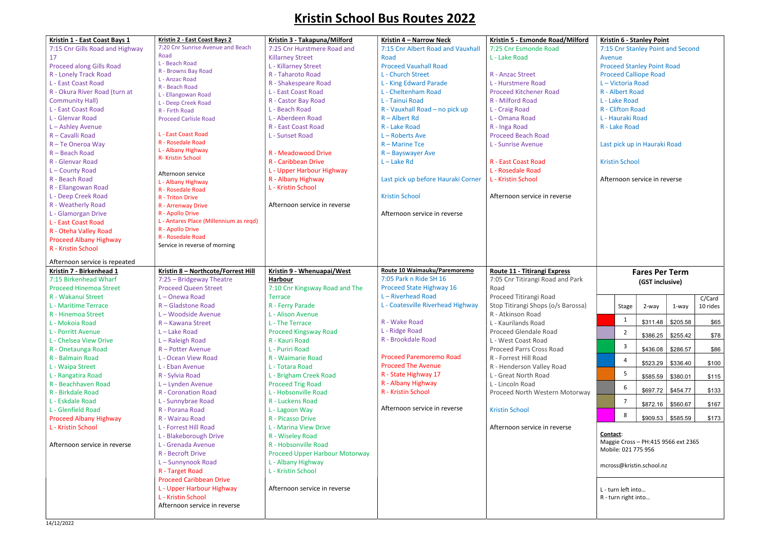## Kristin School Bus Routes 2022

| Kristin 1 - East Coast Bays 1   | Kristin 2 - East Coast Bays 2<br>7:20 Cnr Sunrise Avenue and Beach | Kristin 3 - Takapuna/Milford   | Kristin 4 - Narrow Neck            | Kristin 5 - Esmonde Road/Milford    |
|---------------------------------|--------------------------------------------------------------------|--------------------------------|------------------------------------|-------------------------------------|
| 7:15 Cnr Gills Road and Highway | Road                                                               | 7:25 Cnr Hurstmere Road and    | 7:15 Cnr Albert Road and Vauxhall  | 7:25 Cnr Esmonde Road               |
| 17                              | L - Beach Road                                                     | <b>Killarney Street</b>        | Road                               | L - Lake Road                       |
| Proceed along Gills Road        | R - Browns Bay Road                                                | L - Killarney Street           | <b>Proceed Vauxhall Road</b>       |                                     |
| R - Lonely Track Road           | L - Anzac Road                                                     | R - Taharoto Road              | L - Church Street                  | R - Anzac Street                    |
| L - East Coast Road             | R - Beach Road                                                     | R - Shakespeare Road           | L - King Edward Parade             | L - Hurstmere Road                  |
| R - Okura River Road (turn at   | L - Ellangowan Road                                                | L - East Coast Road            | L - Cheltenham Road                | <b>Proceed Kitchener Road</b>       |
| <b>Community Hall)</b>          | L - Deep Creek Road                                                | R - Castor Bay Road            | L - Tainui Road                    | R - Milford Road                    |
| L - East Coast Road             | R - Firth Road                                                     | L - Beach Road                 | R - Vauxhall Road - no pick up     | L - Craig Road                      |
| L - Glenvar Road                | <b>Proceed Carlisle Road</b>                                       | L - Aberdeen Road              | $R -$ Albert Rd                    | L - Omana Road                      |
| L - Ashley Avenue               |                                                                    | R - East Coast Road            | R - Lake Road                      | R - Inga Road                       |
| R - Cavalli Road                | L - East Coast Road                                                | L - Sunset Road                | $L - \text{Roberts Ave}$           | <b>Proceed Beach Road</b>           |
| R - Te Oneroa Way               | R - Rosedale Road                                                  |                                | $R -$ Marine Tce                   | L - Sunrise Avenue                  |
| R - Beach Road                  | L - Albany Highway                                                 | R - Meadowood Drive            | R - Bayswayer Ave                  |                                     |
| R - Glenvar Road                | R- Kristin School                                                  | R - Caribbean Drive            | $L -$ Lake Rd                      | R - East Coast Road                 |
| L-County Road                   |                                                                    | L - Upper Harbour Highway      |                                    | L - Rosedale Road                   |
| R - Beach Road                  | Afternoon service                                                  | R - Albany Highway             | Last pick up before Hauraki Corner | L - Kristin School                  |
| R - Ellangowan Road             | L - Albany Highway                                                 | L - Kristin School             |                                    |                                     |
|                                 | R - Rosedale Road                                                  |                                | <b>Kristin School</b>              | Afternoon service in reverse        |
| L - Deep Creek Road             | R - Triton Drive                                                   |                                |                                    |                                     |
| R - Weatherly Road              | R - Arrenway Drive                                                 | Afternoon service in reverse   |                                    |                                     |
| L - Glamorgan Drive             | R - Apollo Drive                                                   |                                | Afternoon service in reverse       |                                     |
| L - East Coast Road             | L - Antares Place (Millennium as reqd)<br>R - Apollo Drive         |                                |                                    |                                     |
| R - Oteha Valley Road           | R - Rosedale Road                                                  |                                |                                    |                                     |
| <b>Proceed Albany Highway</b>   | Service in reverse of morning                                      |                                |                                    |                                     |
| R - Kristin School              |                                                                    |                                |                                    |                                     |
| Afternoon service is repeated   |                                                                    |                                |                                    |                                     |
| Kristin 7 - Birkenhead 1        | Kristin 8 - Northcote/Forrest Hill                                 | Kristin 9 - Whenuapai/West     | Route 10 Waimauku/Paremoremo       | <b>Route 11 - Titirangi Express</b> |
| 7:15 Birkenhead Wharf           | 7:25 - Bridgeway Theatre                                           | <b>Harbour</b>                 | 7:05 Park n Ride SH 16             | 7:05 Cnr Titirangi Road and Park    |
| <b>Proceed Hinemoa Street</b>   | <b>Proceed Queen Street</b>                                        | 7:10 Cnr Kingsway Road and The | Proceed State Highway 16           | Road                                |
| R - Wakanui Street              | L-Onewa Road                                                       | <b>Terrace</b>                 | L-Riverhead Road                   | Proceed Titirangi Road              |
| L - Maritime Terrace            | R - Gladstone Road                                                 | R - Ferry Parade               | L - Coatesville Riverhead Highway  | Stop Titirangi Shops (o/s Barossa)  |
|                                 | L-Woodside Avenue                                                  |                                |                                    | R - Atkinson Road                   |
| R - Hinemoa Street              |                                                                    | L - Alison Avenue              | R - Wake Road                      |                                     |
| L - Mokoia Road                 | R - Kawana Street                                                  | L - The Terrace                |                                    | L - Kaurilands Road                 |
| L - Porritt Avenue              | $L -$ Lake Road                                                    | <b>Proceed Kingsway Road</b>   | L - Ridge Road                     | Proceed Glendale Road               |
| L - Chelsea View Drive          | L-Raleigh Road                                                     | R - Kauri Road                 | R - Brookdale Road                 | L - West Coast Road                 |
| R - Onetaunga Road              | R - Potter Avenue                                                  | L - Puriri Road                |                                    | Proceed Parrs Cross Road            |
| R - Balmain Road                | L - Ocean View Road                                                | R - Waimarie Road              | <b>Proceed Paremoremo Road</b>     | R - Forrest Hill Road               |
| L - Waipa Street                | L - Eban Avenue                                                    | L - Totara Road                | <b>Proceed The Avenue</b>          | R - Henderson Valley Road           |
| L - Rangatira Road              | R - Sylvia Road                                                    | L - Brigham Creek Road         | R - State Highway 17               | L - Great North Road                |
| R - Beachhaven Road             | L-Lynden Avenue                                                    | <b>Proceed Trig Road</b>       | R - Albany Highway                 | L - Lincoln Road                    |
| R - Birkdale Road               | <b>R</b> - Coronation Road                                         | L - Hobsonville Road           | R - Kristin School                 | Proceed North Western Motorway      |
| L - Eskdale Road                | L - Sunnybrae Road                                                 | R - Luckens Road               |                                    |                                     |
| L - Glenfield Road              | R - Porana Road                                                    | L - Lagoon Way                 | Afternoon service in reverse       | <b>Kristin School</b>               |
| <b>Proceed Albany Highway</b>   | R - Wairau Road                                                    | R - Picasso Drive              |                                    |                                     |
| L - Kristin School              | L - Forrest Hill Road                                              | L - Marina View Drive          |                                    | Afternoon service in reverse        |
|                                 | L - Blakeborough Drive                                             | R - Wiseley Road               |                                    |                                     |
| Afternoon service in reverse    | L - Grenada Avenue                                                 | R - Hobsonville Road           |                                    |                                     |
|                                 | R - Becroft Drive                                                  | Proceed Upper Harbour Motorway |                                    |                                     |
|                                 | L-Sunnynook Road                                                   | L - Albany Highway             |                                    |                                     |
|                                 | R - Target Road                                                    | L - Kristin School             |                                    |                                     |
|                                 | <b>Proceed Caribbean Drive</b>                                     |                                |                                    |                                     |
|                                 |                                                                    | Afternoon service in reverse   |                                    |                                     |
|                                 | L - Upper Harbour Highway                                          |                                |                                    |                                     |
|                                 | L - Kristin School                                                 |                                |                                    |                                     |
|                                 | Afternoon service in reverse                                       |                                |                                    |                                     |
|                                 |                                                                    |                                |                                    |                                     |

| L-Victoria Road<br>R - Albert Road<br>L - Lake Road<br>R - Clifton Road<br>L - Hauraki Road<br>R - Lake Road |                              |          |                                            |
|--------------------------------------------------------------------------------------------------------------|------------------------------|----------|--------------------------------------------|
|                                                                                                              | Last pick up in Hauraki Road |          |                                            |
| <b>Kristin School</b>                                                                                        |                              |          |                                            |
|                                                                                                              | Afternoon service in reverse |          |                                            |
|                                                                                                              |                              |          |                                            |
|                                                                                                              |                              |          |                                            |
|                                                                                                              |                              |          |                                            |
|                                                                                                              |                              |          |                                            |
|                                                                                                              | <b>Fares Per Term</b>        |          |                                            |
|                                                                                                              | (GST inclusive)              |          |                                            |
| <b>Stage</b>                                                                                                 | 2-way                        | 1-way    |                                            |
| 1                                                                                                            | \$311.48                     | \$205.58 |                                            |
| 2                                                                                                            | \$386.25                     | \$255.42 |                                            |
| 3                                                                                                            | \$436.08                     | \$286.57 | C/Card<br>10 rides<br>\$65<br>\$78<br>\$86 |
| 4                                                                                                            | \$523.29                     | \$336.40 |                                            |
| 5                                                                                                            | \$585.59                     | \$380.01 |                                            |
| 6                                                                                                            | \$697.72                     | \$454.77 |                                            |
| 7                                                                                                            | \$872.16                     | \$560.67 | \$100<br>\$115<br>\$133<br>\$167           |
| 8                                                                                                            | \$909.53                     | \$585.59 | \$173                                      |